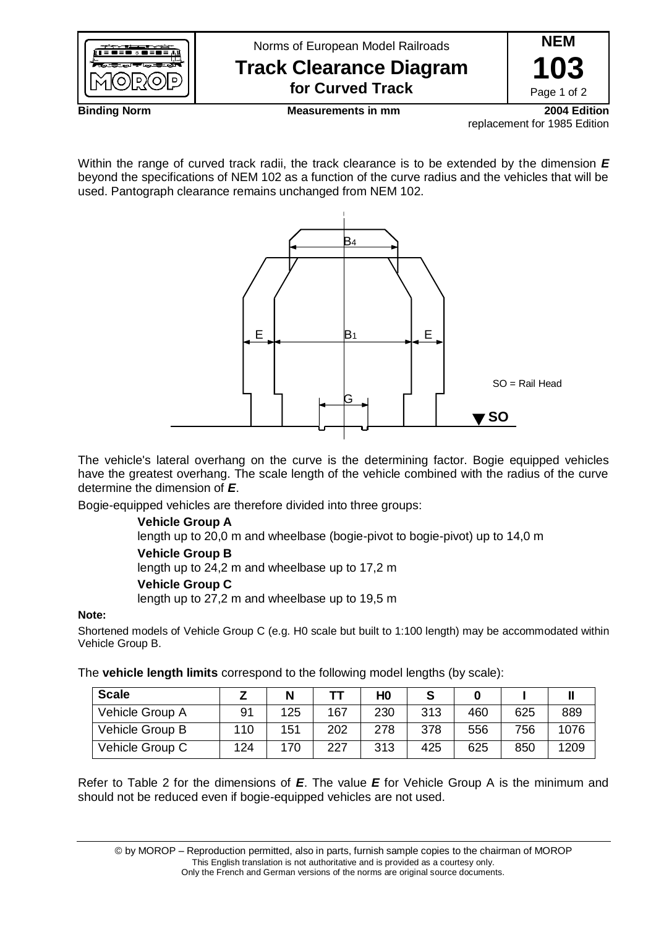

replacement for 1985 Edition

Within the range of curved track radii, the track clearance is to be extended by the dimension *E* beyond the specifications of NEM 102 as a function of the curve radius and the vehicles that will be used. Pantograph clearance remains unchanged from NEM 102.



The vehicle's lateral overhang on the curve is the determining factor. Bogie equipped vehicles have the greatest overhang. The scale length of the vehicle combined with the radius of the curve determine the dimension of *E*.

Bogie-equipped vehicles are therefore divided into three groups:

## **Vehicle Group A**

length up to 20,0 m and wheelbase (bogie-pivot to bogie-pivot) up to 14,0 m **Vehicle Group B**

length up to 24,2 m and wheelbase up to 17,2 m

### **Vehicle Group C**

length up to 27,2 m and wheelbase up to 19,5 m

### **Note:**

Shortened models of Vehicle Group C (e.g. H0 scale but built to 1:100 length) may be accommodated within Vehicle Group B.

The **vehicle length limits** correspond to the following model lengths (by scale):

| <b>Scale</b>    |     | N   |     | H0  |     |     |     |      |
|-----------------|-----|-----|-----|-----|-----|-----|-----|------|
| Vehicle Group A | 91  | 125 | 167 | 230 | 313 | 460 | 625 | 889  |
| Vehicle Group B | 110 | 151 | 202 | 278 | 378 | 556 | 756 | 1076 |
| Vehicle Group C | 124 | 170 | 227 | 313 | 425 | 625 | 850 | 1209 |

Refer to Table 2 for the dimensions of *E*. The value *E* for Vehicle Group A is the minimum and should not be reduced even if bogie-equipped vehicles are not used.